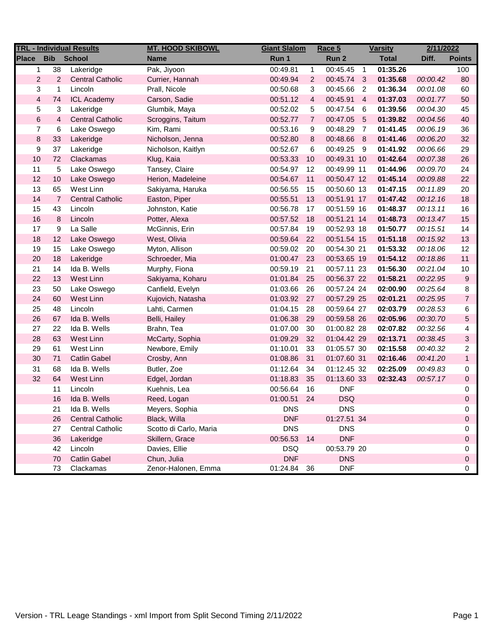| <b>TRL - Individual Results</b> |                |                         | <b>MT. HOOD SKIBOWL</b> | <b>Giant Slalom</b> |                | Race 5      | <b>Varsity</b> |              | 2/11/2022 |                |
|---------------------------------|----------------|-------------------------|-------------------------|---------------------|----------------|-------------|----------------|--------------|-----------|----------------|
| Place                           | <b>Bib</b>     | <b>School</b>           | Name                    | Run 1               |                | Run 2       |                | <b>Total</b> | Diff.     | <b>Points</b>  |
| 1                               | 38             | Lakeridge               | Pak, Jiyoon             | 00:49.81            | $\mathbf{1}$   | 00:45.45    | $\overline{1}$ | 01:35.26     |           | 100            |
| $\overline{2}$                  | $\overline{2}$ | <b>Central Catholic</b> | Currier, Hannah         | 00:49.94            | $\overline{2}$ | 00:45.74    | $\mathbf{3}$   | 01:35.68     | 00:00.42  | 80             |
| 3                               | $\mathbf{1}$   | Lincoln                 | Prall, Nicole           | 00:50.68            | 3              | 00:45.66    | $\overline{2}$ | 01:36.34     | 00:01.08  | 60             |
| $\overline{4}$                  | 74             | <b>ICL Academy</b>      | Carson, Sadie           | 00:51.12            | 4              | 00:45.91    | $\overline{4}$ | 01:37.03     | 00:01.77  | 50             |
| 5                               | 3              | Lakeridge               | Glumbik, Maya           | 00:52.02            | 5              | 00:47.54    | 6              | 01:39.56     | 00:04.30  | 45             |
| $\,6$                           | $\overline{4}$ | <b>Central Catholic</b> | Scroggins, Taitum       | 00:52.77            | $\overline{7}$ | 00:47.05    | $-5$           | 01:39.82     | 00:04.56  | 40             |
| $\overline{7}$                  | 6              | Lake Oswego             | Kim, Rami               | 00:53.16            | 9              | 00:48.29    | $\overline{7}$ | 01:41.45     | 00:06.19  | 36             |
| $\bf 8$                         | 33             | Lakeridge               | Nicholson, Jenna        | 00:52.80            | 8              | 00:48.66    | - 8            | 01:41.46     | 00:06.20  | 32             |
| 9                               | 37             | Lakeridge               | Nicholson, Kaitlyn      | 00:52.67            | 6              | 00:49.25    | - 9            | 01:41.92     | 00:06.66  | 29             |
| 10                              | 72             | Clackamas               | Klug, Kaia              | 00:53.33            | 10             | 00:49.31 10 |                | 01:42.64     | 00:07.38  | 26             |
| 11                              | 5              | Lake Oswego             | Tansey, Claire          | 00:54.97            | 12             | 00:49.99 11 |                | 01:44.96     | 00:09.70  | 24             |
| 12                              | 10             | Lake Oswego             | Herion, Madeleine       | 00:54.67            | 11             | 00:50.47 12 |                | 01:45.14     | 00:09.88  | 22             |
| 13                              | 65             | West Linn               | Sakiyama, Haruka        | 00:56.55            | 15             | 00:50.60 13 |                | 01:47.15     | 00:11.89  | 20             |
| 14                              | $\overline{7}$ | <b>Central Catholic</b> | Easton, Piper           | 00:55.51            | 13             | 00:51.91 17 |                | 01:47.42     | 00:12.16  | 18             |
| 15                              | 43             | Lincoln                 | Johnston, Katie         | 00:56.78            | 17             | 00:51.59 16 |                | 01:48.37     | 00:13.11  | 16             |
| 16                              | 8              | Lincoln                 | Potter, Alexa           | 00:57.52            | 18             | 00:51.21 14 |                | 01:48.73     | 00:13.47  | 15             |
| 17                              | 9              | La Salle                | McGinnis, Erin          | 00:57.84            | 19             | 00:52.93 18 |                | 01:50.77     | 00:15.51  | 14             |
| 18                              | 12             | Lake Oswego             | West, Olivia            | 00:59.64            | 22             | 00:51.54 15 |                | 01:51.18     | 00:15.92  | 13             |
| 19                              | 15             | Lake Oswego             | Myton, Allison          | 00:59.02            | 20             | 00:54.30 21 |                | 01:53.32     | 00:18.06  | 12             |
| 20                              | 18             | Lakeridge               | Schroeder, Mia          | 01:00.47            | 23             | 00:53.65 19 |                | 01:54.12     | 00:18.86  | 11             |
| 21                              | 14             | Ida B. Wells            | Murphy, Fiona           | 00:59.19            | 21             | 00:57.11 23 |                | 01:56.30     | 00:21.04  | 10             |
| 22                              | 13             | West Linn               | Sakiyama, Koharu        | 01:01.84            | 25             | 00:56.37 22 |                | 01:58.21     | 00:22.95  | 9              |
| 23                              | 50             | Lake Oswego             | Canfield, Evelyn        | 01:03.66            | 26             | 00:57.24 24 |                | 02:00.90     | 00:25.64  | 8              |
| 24                              | 60             | West Linn               | Kujovich, Natasha       | 01:03.92            | 27             | 00:57.29 25 |                | 02:01.21     | 00:25.95  | $\overline{7}$ |
| 25                              | 48             | Lincoln                 | Lahti, Carmen           | 01:04.15            | 28             | 00:59.64 27 |                | 02:03.79     | 00:28.53  | 6              |
| 26                              | 67             | Ida B. Wells            | Belli, Hailey           | 01:06.38            | 29             | 00:59.58 26 |                | 02:05.96     | 00:30.70  | 5              |
| 27                              | 22             | Ida B. Wells            | Brahn, Tea              | 01:07.00            | 30             | 01:00.82 28 |                | 02:07.82     | 00:32.56  | 4              |
| 28                              | 63             | West Linn               | McCarty, Sophia         | 01:09.29            | 32             | 01:04.42 29 |                | 02:13.71     | 00:38.45  | 3              |
| 29                              | 61             | West Linn               | Newbore, Emily          | 01:10.01            | 33             | 01:05.57 30 |                | 02:15.58     | 00:40.32  | 2              |
| 30                              | 71             | <b>Catlin Gabel</b>     | Crosby, Ann             | 01:08.86            | 31             | 01:07.60 31 |                | 02:16.46     | 00:41.20  | $\mathbf{1}$   |
| 31                              | 68             | Ida B. Wells            | Butler, Zoe             | 01:12.64            | 34             | 01:12.45 32 |                | 02:25.09     | 00:49.83  | 0              |
| 32                              | 64             | West Linn               | Edgel, Jordan           | 01:18.83            | 35             | 01:13.60 33 |                | 02:32.43     | 00:57.17  | $\mathbf 0$    |
|                                 | 11             | Lincoln                 | Kuehnis, Lea            | 00:56.64            | 16             | <b>DNF</b>  |                |              |           | 0              |
|                                 | 16             | Ida B. Wells            | Reed, Logan             | 01:00.51            | 24             | <b>DSQ</b>  |                |              |           | 0              |
|                                 | 21             | Ida B. Wells            | Meyers, Sophia          | <b>DNS</b>          |                | <b>DNS</b>  |                |              |           | 0              |
|                                 | 26             | <b>Central Catholic</b> | Black, Willa            | <b>DNF</b>          |                | 01:27.51 34 |                |              |           | 0              |
|                                 | 27             | <b>Central Catholic</b> | Scotto di Carlo, Maria  | <b>DNS</b>          |                | <b>DNS</b>  |                |              |           | 0              |
|                                 | 36             | Lakeridge               | Skillern, Grace         | 00:56.53            | 14             | <b>DNF</b>  |                |              |           | 0              |
|                                 | 42             | Lincoln                 | Davies, Ellie           | <b>DSQ</b>          |                | 00:53.79 20 |                |              |           | 0              |
|                                 | 70             | <b>Catlin Gabel</b>     | Chun, Julia             | <b>DNF</b>          |                | <b>DNS</b>  |                |              |           | 0              |
|                                 | 73             | Clackamas               | Zenor-Halonen, Emma     | 01:24.84            | 36             | <b>DNF</b>  |                |              |           | 0              |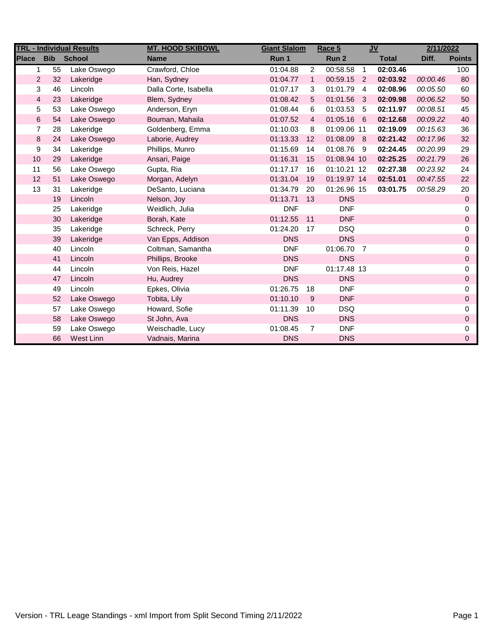|              |                      | <b>TRL - Individual Results</b> | <b>MT. HOOD SKIBOWL</b> | <b>Giant Slalom</b> |                | Race 5      |                | <b>JV</b>    | 2/11/2022 |               |
|--------------|----------------------|---------------------------------|-------------------------|---------------------|----------------|-------------|----------------|--------------|-----------|---------------|
| <b>Place</b> | <b>Bib</b>           | <b>School</b>                   | <b>Name</b>             | Run 1               |                | Run 2       |                | <b>Total</b> | Diff.     | <b>Points</b> |
| 1            | 55                   | Lake Oswego                     | Crawford, Chloe         | 01:04.88            | 2              | 00:58.58    | $\overline{1}$ | 02:03.46     |           | 100           |
|              | $\overline{2}$<br>32 | Lakeridge                       | Han, Sydney             | 01:04.77            | $\mathbf{1}$   | 00:59.15    | 2              | 02:03.92     | 00:00.46  | 80            |
|              | 3<br>46              | Lincoln                         | Dalla Corte, Isabella   | 01:07.17            | 3              | 01:01.79    | $\overline{4}$ | 02:08.96     | 00:05.50  | 60            |
|              | 4<br>23              | Lakeridge                       | Blem, Sydney            | 01:08.42            | 5              | 01:01.56    | 3              | 02:09.98     | 00:06.52  | 50            |
| 5            | 53                   | Lake Oswego                     | Anderson, Eryn          | 01:08.44            | 6              | 01:03.53    | -5             | 02:11.97     | 00:08.51  | 45            |
| 6            | 54                   | Lake Oswego                     | Bouman, Mahaila         | 01:07.52            | 4              | 01:05.16 6  |                | 02:12.68     | 00:09.22  | 40            |
|              | 7<br>28              | Lakeridge                       | Goldenberg, Emma        | 01:10.03            | 8              | 01:09.06 11 |                | 02:19.09     | 00:15.63  | 36            |
| 8            | 24                   | Lake Oswego                     | Laborie, Audrey         | 01:13.33            | 12             | 01:08.09    | - 8            | 02:21.42     | 00:17.96  | 32            |
| 9            | 34                   | Lakeridge                       | Phillips, Munro         | 01:15.69            | 14             | 01:08.76    | - 9            | 02:24.45     | 00:20.99  | 29            |
| 10           | 29                   | Lakeridge                       | Ansari, Paige           | 01:16.31            | 15             | 01:08.94 10 |                | 02:25.25     | 00:21.79  | 26            |
| 11           | 56                   | Lake Oswego                     | Gupta, Ria              | 01:17.17            | 16             | 01:10.21 12 |                | 02:27.38     | 00:23.92  | 24            |
| 12           | 51                   | Lake Oswego                     | Morgan, Adelyn          | 01:31.04            | 19             | 01:19.97 14 |                | 02:51.01     | 00:47.55  | 22            |
| 13           | 31                   | Lakeridge                       | DeSanto, Luciana        | 01:34.79            | 20             | 01:26.96 15 |                | 03:01.75     | 00:58.29  | 20            |
|              | 19                   | Lincoln                         | Nelson, Joy             | 01:13.71            | 13             | <b>DNS</b>  |                |              |           | $\mathbf{0}$  |
|              | 25                   | Lakeridge                       | Weidlich, Julia         | <b>DNF</b>          |                | <b>DNF</b>  |                |              |           | 0             |
|              | 30                   | Lakeridge                       | Borah, Kate             | 01:12.55            | 11             | <b>DNF</b>  |                |              |           | 0             |
|              | 35                   | Lakeridge                       | Schreck, Perry          | 01:24.20            | 17             | <b>DSQ</b>  |                |              |           | 0             |
|              | 39                   | Lakeridge                       | Van Epps, Addison       | <b>DNS</b>          |                | <b>DNS</b>  |                |              |           | 0             |
|              | 40                   | Lincoln                         | Coltman, Samantha       | <b>DNF</b>          |                | 01:06.70    | $\overline{7}$ |              |           | 0             |
|              | 41                   | Lincoln                         | Phillips, Brooke        | <b>DNS</b>          |                | <b>DNS</b>  |                |              |           | 0             |
|              | 44                   | Lincoln                         | Von Reis, Hazel         | <b>DNF</b>          |                | 01:17.48 13 |                |              |           | 0             |
|              | 47                   | Lincoln                         | Hu, Audrey              | <b>DNS</b>          |                | <b>DNS</b>  |                |              |           | 0             |
|              | 49                   | Lincoln                         | Epkes, Olivia           | 01:26.75            | 18             | <b>DNF</b>  |                |              |           | 0             |
|              | 52                   | Lake Oswego                     | Tobita, Lily            | 01:10.10            | 9              | <b>DNF</b>  |                |              |           | 0             |
|              | 57                   | Lake Oswego                     | Howard, Sofie           | 01:11.39            | 10             | <b>DSQ</b>  |                |              |           | 0             |
|              | 58                   | Lake Oswego                     | St John, Ava            | <b>DNS</b>          |                | <b>DNS</b>  |                |              |           | 0             |
|              | 59                   | Lake Oswego                     | Weischadle, Lucy        | 01:08.45            | $\overline{7}$ | <b>DNF</b>  |                |              |           | 0             |
|              | 66                   | West Linn                       | Vadnais, Marina         | <b>DNS</b>          |                | <b>DNS</b>  |                |              |           | 0             |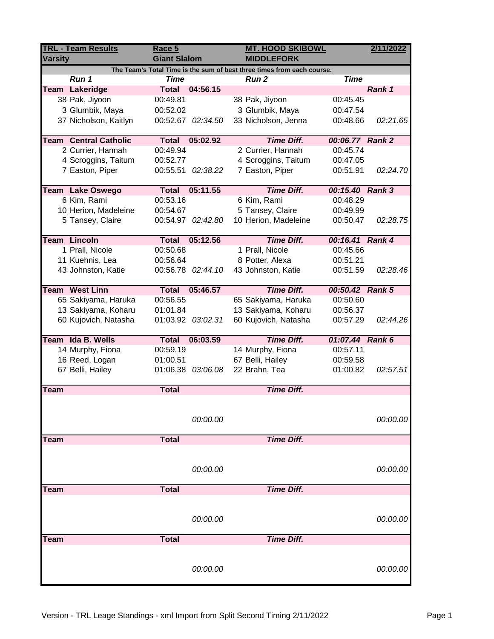| <b>TRL - Team Results</b><br><b>Varsity</b>                                                                                   |                              | Race 5<br><b>Giant Slalom</b> |                   |                      | <b>MT. HOOD SKIBOWL</b><br><b>MIDDLEFORK</b> |          |  |
|-------------------------------------------------------------------------------------------------------------------------------|------------------------------|-------------------------------|-------------------|----------------------|----------------------------------------------|----------|--|
|                                                                                                                               |                              |                               |                   |                      |                                              |          |  |
| The Team's Total Time is the sum of best three times from each course.<br>Run 1<br><b>Time</b><br><b>Time</b><br><b>Run 2</b> |                              |                               |                   |                      |                                              |          |  |
|                                                                                                                               | Team Lakeridge               |                               | Total 04:56.15    |                      |                                              | Rank 1   |  |
|                                                                                                                               | 38 Pak, Jiyoon               | 00:49.81                      |                   | 38 Pak, Jiyoon       | 00:45.45                                     |          |  |
|                                                                                                                               | 3 Glumbik, Maya              | 00:52.02                      |                   | 3 Glumbik, Maya      | 00:47.54                                     |          |  |
|                                                                                                                               | 37 Nicholson, Kaitlyn        |                               | 00:52.67 02:34.50 | 33 Nicholson, Jenna  | 00:48.66                                     | 02:21.65 |  |
|                                                                                                                               |                              |                               |                   |                      |                                              |          |  |
|                                                                                                                               | <b>Team Central Catholic</b> | <b>Total</b>                  | 05:02.92          | <b>Time Diff.</b>    | 00:06.77 Rank 2                              |          |  |
|                                                                                                                               | 2 Currier, Hannah            | 00:49.94                      |                   | 2 Currier, Hannah    | 00:45.74                                     |          |  |
|                                                                                                                               | 4 Scroggins, Taitum          | 00:52.77                      |                   | 4 Scroggins, Taitum  | 00:47.05                                     |          |  |
|                                                                                                                               | 7 Easton, Piper              | 00:55.51                      | 02:38.22          | 7 Easton, Piper      | 00:51.91                                     | 02:24.70 |  |
|                                                                                                                               | <b>Team Lake Oswego</b>      | <b>Total</b>                  | 05:11.55          | <b>Time Diff.</b>    | 00:15.40 Rank 3                              |          |  |
|                                                                                                                               | 6 Kim, Rami                  | 00:53.16                      |                   | 6 Kim, Rami          | 00:48.29                                     |          |  |
|                                                                                                                               | 10 Herion, Madeleine         | 00:54.67                      |                   | 5 Tansey, Claire     | 00:49.99                                     |          |  |
|                                                                                                                               | 5 Tansey, Claire             |                               | 00:54.97 02:42.80 | 10 Herion, Madeleine | 00:50.47                                     | 02:28.75 |  |
|                                                                                                                               |                              |                               |                   |                      |                                              |          |  |
|                                                                                                                               | <b>Team Lincoln</b>          | <b>Total</b>                  | 05:12.56          | <b>Time Diff.</b>    | 00:16.41 Rank 4                              |          |  |
|                                                                                                                               | 1 Prall, Nicole              | 00:50.68                      |                   | 1 Prall, Nicole      | 00:45.66                                     |          |  |
|                                                                                                                               | 11 Kuehnis, Lea              | 00:56.64                      |                   | 8 Potter, Alexa      | 00:51.21                                     |          |  |
|                                                                                                                               | 43 Johnston, Katie           |                               | 00:56.78 02:44.10 | 43 Johnston, Katie   | 00:51.59                                     | 02:28.46 |  |
|                                                                                                                               |                              |                               |                   |                      |                                              |          |  |
|                                                                                                                               | <b>Team West Linn</b>        | <b>Total</b>                  | 05:46.57          | <b>Time Diff.</b>    | 00:50.42 Rank 5                              |          |  |
|                                                                                                                               | 65 Sakiyama, Haruka          | 00:56.55                      |                   | 65 Sakiyama, Haruka  | 00:50.60                                     |          |  |
|                                                                                                                               | 13 Sakiyama, Koharu          | 01:01.84                      |                   | 13 Sakiyama, Koharu  | 00:56.37                                     |          |  |
|                                                                                                                               | 60 Kujovich, Natasha         |                               | 01:03.92 03:02.31 | 60 Kujovich, Natasha | 00:57.29                                     | 02:44.26 |  |
|                                                                                                                               | Team Ida B. Wells            | <b>Total</b>                  | 06:03.59          | <b>Time Diff.</b>    | 01:07.44 Rank 6                              |          |  |
|                                                                                                                               | 14 Murphy, Fiona             | 00:59.19                      |                   | 14 Murphy, Fiona     | 00:57.11                                     |          |  |
|                                                                                                                               | 16 Reed, Logan               | 01:00.51                      |                   | 67 Belli, Hailey     | 00:59.58                                     |          |  |
|                                                                                                                               | 67 Belli, Hailey             |                               | 01:06.38 03:06.08 | 22 Brahn, Tea        | 01:00.82                                     | 02:57.51 |  |
|                                                                                                                               |                              |                               |                   |                      |                                              |          |  |
| <b>Team</b>                                                                                                                   |                              | <b>Total</b>                  |                   | <b>Time Diff.</b>    |                                              |          |  |
|                                                                                                                               |                              |                               |                   |                      |                                              |          |  |
|                                                                                                                               |                              |                               |                   |                      |                                              |          |  |
|                                                                                                                               |                              |                               | 00:00.00          |                      |                                              | 00:00.00 |  |
| Team                                                                                                                          |                              | <b>Total</b>                  |                   | <b>Time Diff.</b>    |                                              |          |  |
|                                                                                                                               |                              |                               |                   |                      |                                              |          |  |
|                                                                                                                               |                              |                               |                   |                      |                                              |          |  |
|                                                                                                                               |                              |                               | 00:00.00          |                      |                                              | 00:00.00 |  |
|                                                                                                                               |                              |                               |                   |                      |                                              |          |  |
| Team                                                                                                                          |                              | <b>Total</b>                  |                   | <b>Time Diff.</b>    |                                              |          |  |
|                                                                                                                               |                              |                               |                   |                      |                                              |          |  |
|                                                                                                                               |                              |                               |                   |                      |                                              |          |  |
|                                                                                                                               |                              |                               | 00:00.00          |                      |                                              | 00:00.00 |  |
|                                                                                                                               |                              |                               |                   |                      |                                              |          |  |
| Team                                                                                                                          |                              | <b>Total</b>                  |                   | <b>Time Diff.</b>    |                                              |          |  |
|                                                                                                                               |                              |                               |                   |                      |                                              |          |  |
|                                                                                                                               |                              |                               | 00:00.00          |                      |                                              | 00:00.00 |  |
|                                                                                                                               |                              |                               |                   |                      |                                              |          |  |